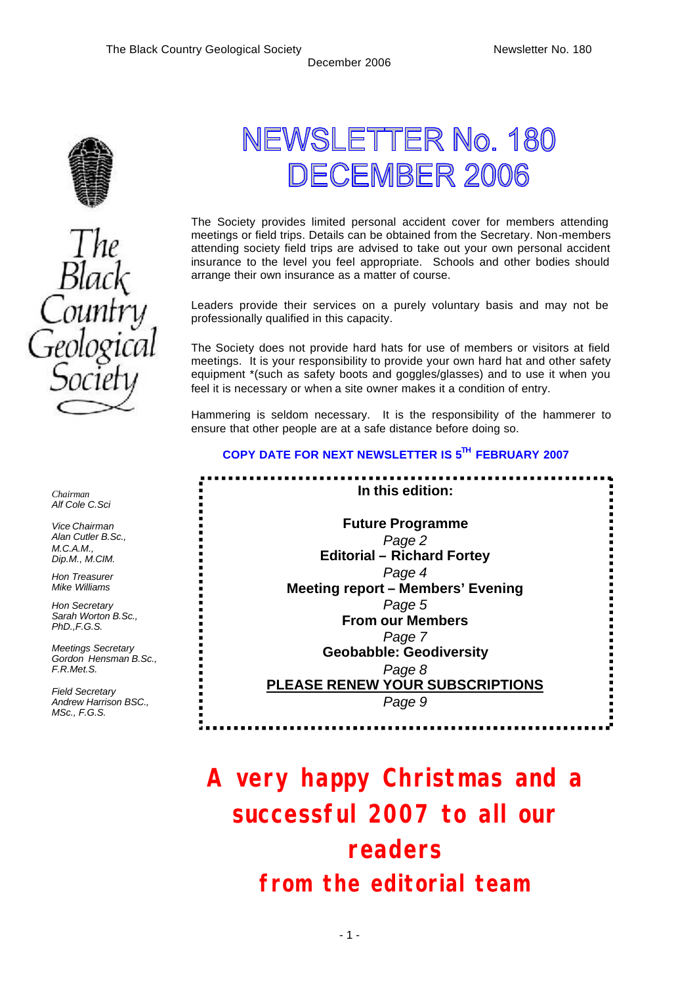..........

in the control



NEWSLETTER No. 180 DECEMBER 2006

The Society provides limited personal accident cover for members attending meetings or field trips. Details can be obtained from the Secretary. Non-members attending society field trips are advised to take out your own personal accident insurance to the level you feel appropriate. Schools and other bodies should arrange their own insurance as a matter of course.

Leaders provide their services on a purely voluntary basis and may not be professionally qualified in this capacity.

The Society does not provide hard hats for use of members or visitors at field meetings. It is your responsibility to provide your own hard hat and other safety equipment \*(such as safety boots and goggles/glasses) and to use it when you feel it is necessary or when a site owner makes it a condition of entry.

Hammering is seldom necessary. It is the responsibility of the hammerer to ensure that other people are at a safe distance before doing so.

## **COPY DATE FOR NEXT NEWSLETTER IS 5TH FEBRUARY 2007**

**In this edition:** :<br>:<br>:<br>: **Future Programme** *Page 2* **Editorial – Richard Fortey** *Page 4* **Meeting report – Members' Evening** *Page 5* **From our Members** *Page 7* **Geobabble: Geodiversity** *Page 8* **PLEASE RENEW YOUR SUBSCRIPTIONS** *Page 9*

# **A very happy Christmas and a successful 2007 to all our readers** *from the editorial team*

*Chairman Alf Cole C.Sci*

*Vice Chairman Alan Cutler B.Sc., M.C.A.M., Dip.M., M.CIM.*

*Hon Treasurer Mike Williams* 

*Hon Secretary Sarah Worton B.Sc., PhD.,F.G.S.*

*Meetings Secretary Gordon Hensman B.Sc., F.R.Met.S.*

*Field Secretary Andrew Harrison BSC., MSc., F.G.S.*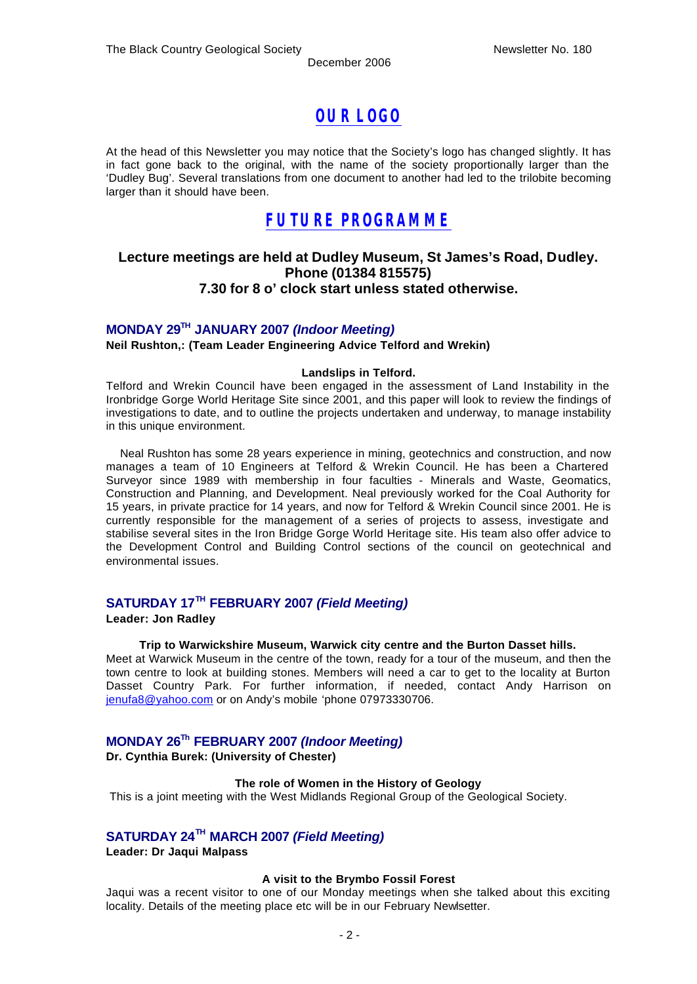## *OUR LOGO*

At the head of this Newsletter you may notice that the Society's logo has changed slightly. It has in fact gone back to the original, with the name of the society proportionally larger than the 'Dudley Bug'. Several translations from one document to another had led to the trilobite becoming larger than it should have been.

## *FUTURE PROGRAMME*

### **Lecture meetings are held at Dudley Museum, St James's Road, Dudley. Phone (01384 815575) 7.30 for 8 o' clock start unless stated otherwise.**

## **MONDAY 29TH JANUARY 2007** *(Indoor Meeting)*

**Neil Rushton,: (Team Leader Engineering Advice Telford and Wrekin)**

#### **Landslips in Telford.**

Telford and Wrekin Council have been engaged in the assessment of Land Instability in the Ironbridge Gorge World Heritage Site since 2001, and this paper will look to review the findings of investigations to date, and to outline the projects undertaken and underway, to manage instability in this unique environment.

 Neal Rushton has some 28 years experience in mining, geotechnics and construction, and now manages a team of 10 Engineers at Telford & Wrekin Council. He has been a Chartered Surveyor since 1989 with membership in four faculties - Minerals and Waste, Geomatics, Construction and Planning, and Development. Neal previously worked for the Coal Authority for 15 years, in private practice for 14 years, and now for Telford & Wrekin Council since 2001. He is currently responsible for the management of a series of projects to assess, investigate and stabilise several sites in the Iron Bridge Gorge World Heritage site. His team also offer advice to the Development Control and Building Control sections of the council on geotechnical and environmental issues.

## **SATURDAY 17TH FEBRUARY 2007** *(Field Meeting)*

#### **Leader: Jon Radley**

#### **Trip to Warwickshire Museum, Warwick city centre and the Burton Dasset hills.**

Meet at Warwick Museum in the centre of the town, ready for a tour of the museum, and then the town centre to look at building stones. Members will need a car to get to the locality at Burton Dasset Country Park. For further information, if needed, contact Andy Harrison on jenufa8@yahoo.com or on Andy's mobile 'phone 07973330706.

## **MONDAY 26Th FEBRUARY 2007** *(Indoor Meeting)*

**Dr. Cynthia Burek: (University of Chester)** 

#### **The role of Women in the History of Geology**

This is a joint meeting with the West Midlands Regional Group of the Geological Society.

### **SATURDAY 24 TH MARCH 2007** *(Field Meeting)*

**Leader: Dr Jaqui Malpass**

#### **A visit to the Brymbo Fossil Forest**

Jaqui was a recent visitor to one of our Monday meetings when she talked about this exciting locality. Details of the meeting place etc will be in our February Newlsetter.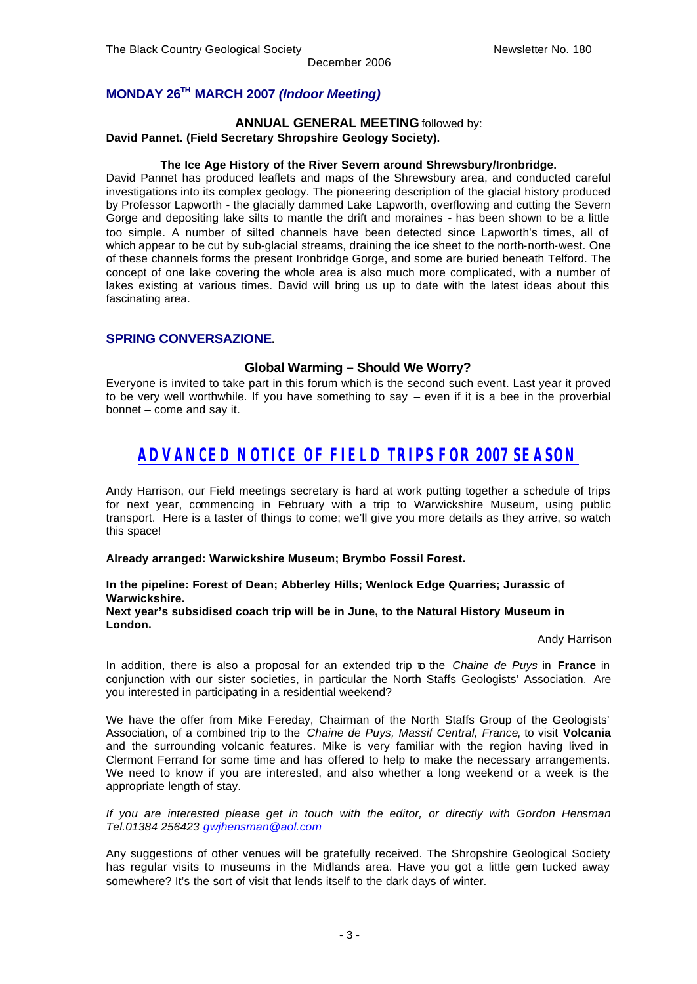### **MONDAY 26TH MARCH 2007** *(Indoor Meeting)*

### **ANNUAL GENERAL MEETING** followed by:

**David Pannet. (Field Secretary Shropshire Geology Society).**

#### **The Ice Age History of the River Severn around Shrewsbury/Ironbridge.**

David Pannet has produced leaflets and maps of the Shrewsbury area, and conducted careful investigations into its complex geology. The pioneering description of the glacial history produced by Professor Lapworth - the glacially dammed Lake Lapworth, overflowing and cutting the Severn Gorge and depositing lake silts to mantle the drift and moraines - has been shown to be a little too simple. A number of silted channels have been detected since Lapworth's times, all of which appear to be cut by sub-glacial streams, draining the ice sheet to the north-north-west. One of these channels forms the present Ironbridge Gorge, and some are buried beneath Telford. The concept of one lake covering the whole area is also much more complicated, with a number of lakes existing at various times. David will bring us up to date with the latest ideas about this fascinating area.

#### **SPRING CONVERSAZIONE.**

#### **Global Warming – Should We Worry?**

Everyone is invited to take part in this forum which is the second such event. Last year it proved to be very well worthwhile. If you have something to say – even if it is a bee in the proverbial bonnet – come and say it.

## *ADVANCED NOTICE OF FIELD TRIPS FOR 2007 SEASON*

Andy Harrison, our Field meetings secretary is hard at work putting together a schedule of trips for next year, commencing in February with a trip to Warwickshire Museum, using public transport. Here is a taster of things to come; we'll give you more details as they arrive, so watch this space!

#### **Already arranged: Warwickshire Museum; Brymbo Fossil Forest.**

#### **In the pipeline: Forest of Dean; Abberley Hills; Wenlock Edge Quarries; Jurassic of Warwickshire.**

#### **Next year's subsidised coach trip will be in June, to the Natural History Museum in London.**

#### Andy Harrison

In addition, there is also a proposal for an extended trip to the *Chaine de Puys* in **France** in conjunction with our sister societies, in particular the North Staffs Geologists' Association. Are you interested in participating in a residential weekend?

We have the offer from Mike Fereday, Chairman of the North Staffs Group of the Geologists' Association, of a combined trip to the *Chaine de Puys, Massif Central, France*, to visit **Volcania**  and the surrounding volcanic features. Mike is very familiar with the region having lived in Clermont Ferrand for some time and has offered to help to make the necessary arrangements. We need to know if you are interested, and also whether a long weekend or a week is the appropriate length of stay.

*If you are interested please get in touch with the editor, or directly with Gordon Hensman Tel.01384 256423 gwjhensman@aol.com*

Any suggestions of other venues will be gratefully received. The Shropshire Geological Society has regular visits to museums in the Midlands area. Have you got a little gem tucked away somewhere? It's the sort of visit that lends itself to the dark days of winter.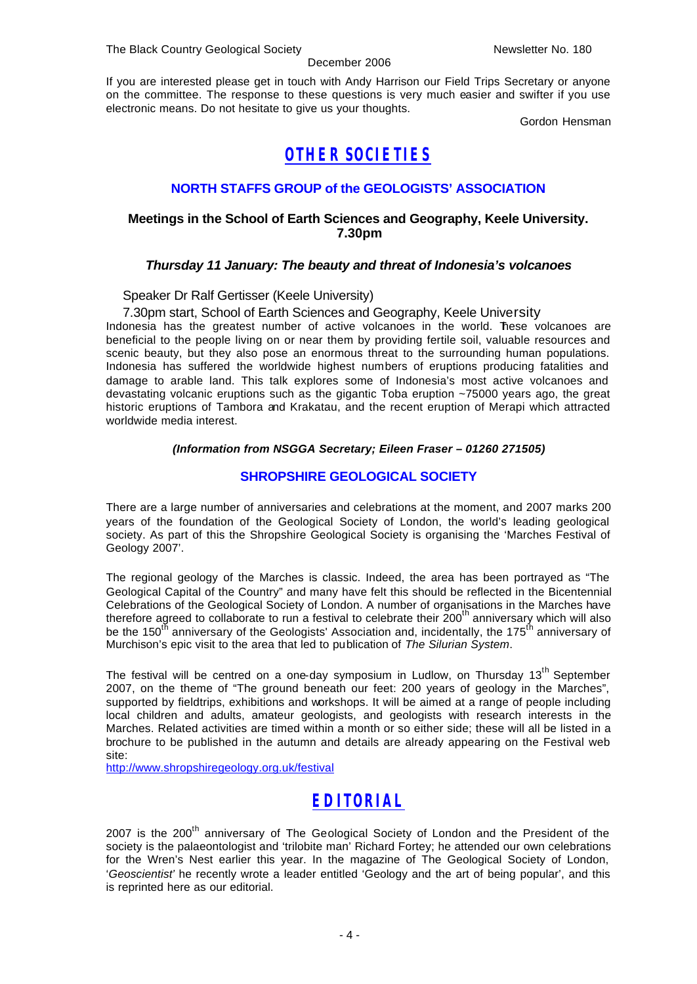December 2006

If you are interested please get in touch with Andy Harrison our Field Trips Secretary or anyone on the committee. The response to these questions is very much easier and swifter if you use electronic means. Do not hesitate to give us your thoughts.

Gordon Hensman

## *OTHER SOCIETIES*

## **NORTH STAFFS GROUP of the GEOLOGISTS' ASSOCIATION**

### **Meetings in the School of Earth Sciences and Geography, Keele University. 7.30pm**

### *Thursday 11 January: The beauty and threat of Indonesia's volcanoes*

Speaker Dr Ralf Gertisser (Keele University)

7.30pm start, School of Earth Sciences and Geography, Keele University Indonesia has the greatest number of active volcanoes in the world. These volcanoes are beneficial to the people living on or near them by providing fertile soil, valuable resources and scenic beauty, but they also pose an enormous threat to the surrounding human populations. Indonesia has suffered the worldwide highest numbers of eruptions producing fatalities and damage to arable land. This talk explores some of Indonesia's most active volcanoes and devastating volcanic eruptions such as the gigantic Toba eruption ~75000 years ago, the great historic eruptions of Tambora and Krakatau, and the recent eruption of Merapi which attracted

worldwide media interest.

#### *(Information from NSGGA Secretary; Eileen Fraser – 01260 271505)*

### **SHROPSHIRE GEOLOGICAL SOCIETY**

There are a large number of anniversaries and celebrations at the moment, and 2007 marks 200 years of the foundation of the Geological Society of London, the world's leading geological society. As part of this the Shropshire Geological Society is organising the 'Marches Festival of Geology 2007'.

The regional geology of the Marches is classic. Indeed, the area has been portrayed as "The Geological Capital of the Country" and many have felt this should be reflected in the Bicentennial Celebrations of the Geological Society of London. A number of organisations in the Marches have therefore agreed to collaborate to run a festival to celebrate their  $200<sup>th</sup>$  anniversary which will also be the 150<sup>th</sup> anniversary of the Geologists' Association and, incidentally, the 175<sup>th</sup> anniversary of Murchison's epic visit to the area that led to publication of *The Silurian System*.

The festival will be centred on a one-day symposium in Ludlow, on Thursday 13<sup>th</sup> September 2007, on the theme of "The ground beneath our feet: 200 years of geology in the Marches", supported by fieldtrips, exhibitions and workshops. It will be aimed at a range of people including local children and adults, amateur geologists, and geologists with research interests in the Marches. Related activities are timed within a month or so either side; these will all be listed in a brochure to be published in the autumn and details are already appearing on the Festival web site:

http://www.shropshiregeology.org.uk/festival

## *EDITORIAL*

2007 is the 200<sup>th</sup> anniversary of The Geological Society of London and the President of the society is the palaeontologist and 'trilobite man' Richard Fortey; he attended our own celebrations for the Wren's Nest earlier this year. In the magazine of The Geological Society of London, '*Geoscientist'* he recently wrote a leader entitled 'Geology and the art of being popular', and this is reprinted here as our editorial.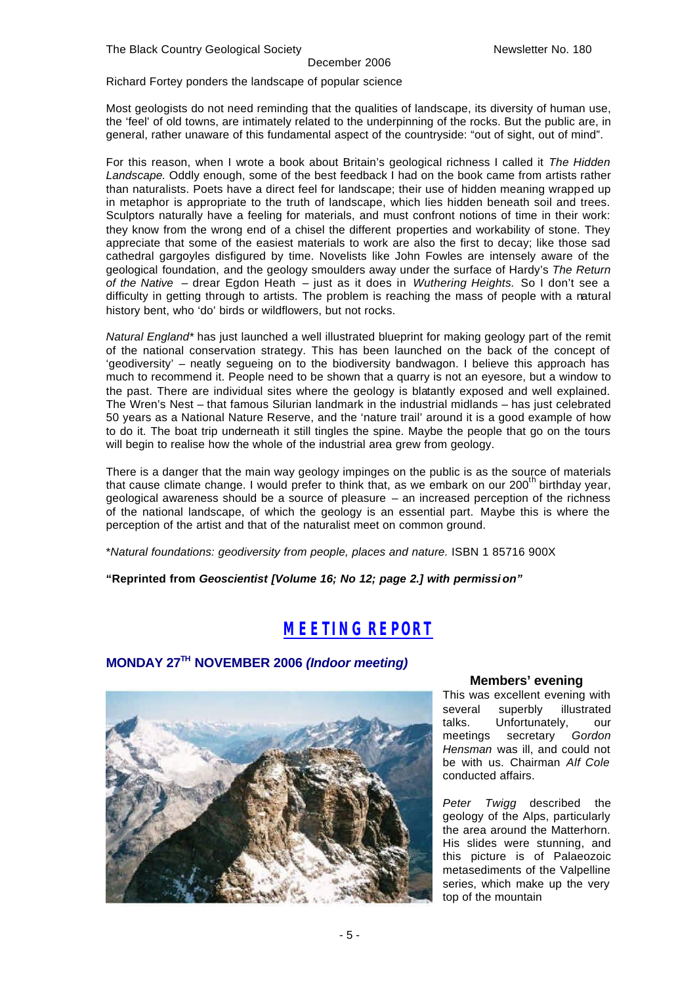#### December 2006

Richard Fortey ponders the landscape of popular science

Most geologists do not need reminding that the qualities of landscape, its diversity of human use, the 'feel' of old towns, are intimately related to the underpinning of the rocks. But the public are, in general, rather unaware of this fundamental aspect of the countryside: "out of sight, out of mind".

For this reason, when I wrote a book about Britain's geological richness I called it *The Hidden Landscape.* Oddly enough, some of the best feedback I had on the book came from artists rather than naturalists. Poets have a direct feel for landscape; their use of hidden meaning wrapped up in metaphor is appropriate to the truth of landscape, which lies hidden beneath soil and trees. Sculptors naturally have a feeling for materials, and must confront notions of time in their work: they know from the wrong end of a chisel the different properties and workability of stone. They appreciate that some of the easiest materials to work are also the first to decay; like those sad cathedral gargoyles disfigured by time. Novelists like John Fowles are intensely aware of the geological foundation, and the geology smoulders away under the surface of Hardy's *The Return of the Native* – drear Egdon Heath – just as it does in *Wuthering Heights.* So I don't see a difficulty in getting through to artists. The problem is reaching the mass of people with a natural history bent, who 'do' birds or wildflowers, but not rocks.

*Natural England\** has just launched a well illustrated blueprint for making geology part of the remit of the national conservation strategy. This has been launched on the back of the concept of 'geodiversity' – neatly segueing on to the biodiversity bandwagon. I believe this approach has much to recommend it. People need to be shown that a quarry is not an eyesore, but a window to the past. There are individual sites where the geology is blatantly exposed and well explained. The Wren's Nest – that famous Silurian landmark in the industrial midlands – has just celebrated 50 years as a National Nature Reserve, and the 'nature trail' around it is a good example of how to do it. The boat trip underneath it still tingles the spine. Maybe the people that go on the tours will begin to realise how the whole of the industrial area grew from geology.

There is a danger that the main way geology impinges on the public is as the source of materials that cause climate change. I would prefer to think that, as we embark on our 200<sup>th</sup> birthday year, geological awareness should be a source of pleasure – an increased perception of the richness of the national landscape, of which the geology is an essential part. Maybe this is where the perception of the artist and that of the naturalist meet on common ground.

\**Natural foundations: geodiversity from people, places and nature.* ISBN 1 85716 900X

**"Reprinted from** *Geoscientist [Volume 16; No 12; page 2.] with permissi on"*

## *MEETING REPORT*

## **MONDAY 27TH NOVEMBER 2006** *(Indoor meeting)*



### **Members' evening**

This was excellent evening with several superbly illustrated talks. Unfortunately, our meetings secretary *Gordon Hensman* was ill, and could not be with us. Chairman *Alf Cole*  conducted affairs.

*Peter Twigg* described the geology of the Alps, particularly the area around the Matterhorn. His slides were stunning, and this picture is of Palaeozoic metasediments of the Valpelline series, which make up the very top of the mountain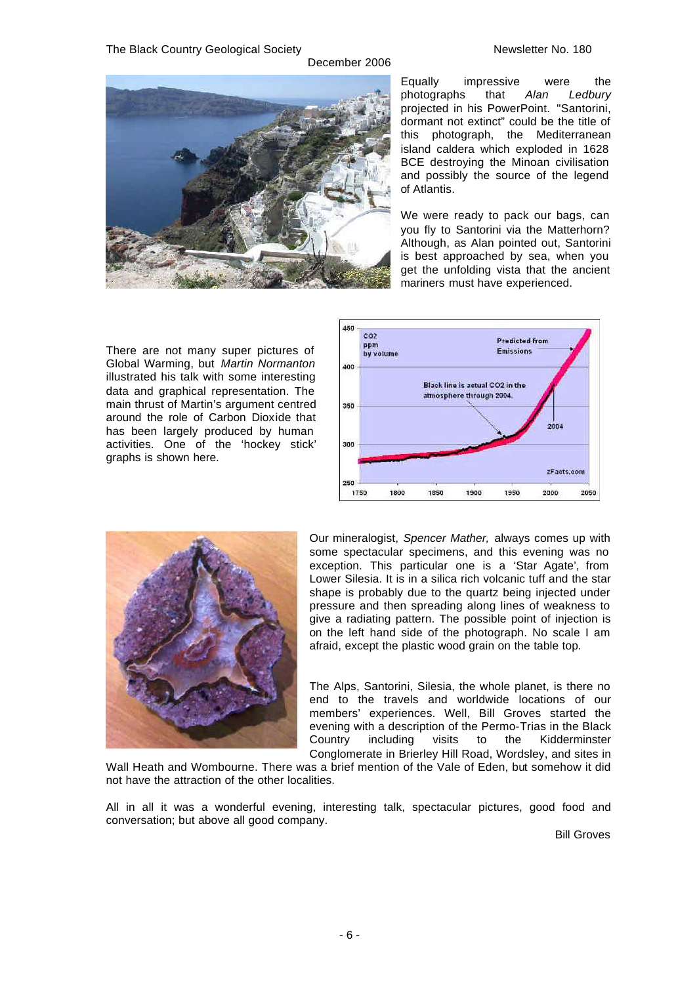

Equally impressive were the photographs that *Alan Ledbury* projected in his PowerPoint. "Santorini, dormant not extinct" could be the title of this photograph, the Mediterranean island caldera which exploded in 1628 BCE destroying the Minoan civilisation and possibly the source of the legend of Atlantis.

We were ready to pack our bags, can you fly to Santorini via the Matterhorn? Although, as Alan pointed out, Santorini is best approached by sea, when you get the unfolding vista that the ancient mariners must have experienced.



There are not many super pictures of Global Warming, but *Martin Normanton*  illustrated his talk with some interesting data and graphical representation. The main thrust of Martin's argument centred around the role of Carbon Dioxide that has been largely produced by human activities. One of the 'hockey stick' graphs is shown here.



Our mineralogist, *Spencer Mather,* always comes up with some spectacular specimens, and this evening was no exception. This particular one is a 'Star Agate', from Lower Silesia. It is in a silica rich volcanic tuff and the star shape is probably due to the quartz being injected under pressure and then spreading along lines of weakness to give a radiating pattern. The possible point of injection is on the left hand side of the photograph. No scale I am afraid, except the plastic wood grain on the table top.

The Alps, Santorini, Silesia, the whole planet, is there no end to the travels and worldwide locations of our members' experiences. Well, Bill Groves started the evening with a description of the Permo-Trias in the Black Country including visits to the Kidderminster Conglomerate in Brierley Hill Road, Wordsley, and sites in

Wall Heath and Wombourne. There was a brief mention of the Vale of Eden, but somehow it did not have the attraction of the other localities.

All in all it was a wonderful evening, interesting talk, spectacular pictures, good food and conversation; but above all good company.

Bill Groves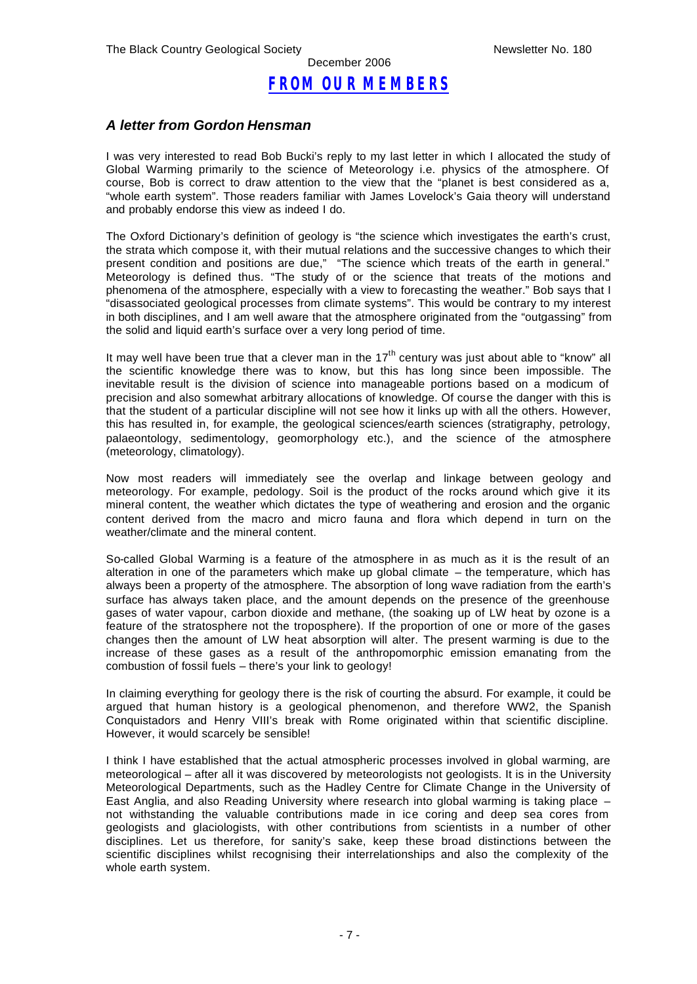## *FROM OUR MEMBERS*

### *A letter from Gordon Hensman*

I was very interested to read Bob Bucki's reply to my last letter in which I allocated the study of Global Warming primarily to the science of Meteorology i.e. physics of the atmosphere. Of course, Bob is correct to draw attention to the view that the "planet is best considered as a, "whole earth system". Those readers familiar with James Lovelock's Gaia theory will understand and probably endorse this view as indeed I do.

The Oxford Dictionary's definition of geology is "the science which investigates the earth's crust, the strata which compose it, with their mutual relations and the successive changes to which their present condition and positions are due," "The science which treats of the earth in general." Meteorology is defined thus. "The study of or the science that treats of the motions and phenomena of the atmosphere, especially with a view to forecasting the weather." Bob says that I "disassociated geological processes from climate systems". This would be contrary to my interest in both disciplines, and I am well aware that the atmosphere originated from the "outgassing" from the solid and liquid earth's surface over a very long period of time.

It may well have been true that a clever man in the  $17<sup>th</sup>$  century was just about able to "know" all the scientific knowledge there was to know, but this has long since been impossible. The inevitable result is the division of science into manageable portions based on a modicum of precision and also somewhat arbitrary allocations of knowledge. Of course the danger with this is that the student of a particular discipline will not see how it links up with all the others. However, this has resulted in, for example, the geological sciences/earth sciences (stratigraphy, petrology, palaeontology, sedimentology, geomorphology etc.), and the science of the atmosphere (meteorology, climatology).

Now most readers will immediately see the overlap and linkage between geology and meteorology. For example, pedology. Soil is the product of the rocks around which give it its mineral content, the weather which dictates the type of weathering and erosion and the organic content derived from the macro and micro fauna and flora which depend in turn on the weather/climate and the mineral content.

So-called Global Warming is a feature of the atmosphere in as much as it is the result of an alteration in one of the parameters which make up global climate – the temperature, which has always been a property of the atmosphere. The absorption of long wave radiation from the earth's surface has always taken place, and the amount depends on the presence of the greenhouse gases of water vapour, carbon dioxide and methane, (the soaking up of LW heat by ozone is a feature of the stratosphere not the troposphere). If the proportion of one or more of the gases changes then the amount of LW heat absorption will alter. The present warming is due to the increase of these gases as a result of the anthropomorphic emission emanating from the combustion of fossil fuels – there's your link to geology!

In claiming everything for geology there is the risk of courting the absurd. For example, it could be argued that human history is a geological phenomenon, and therefore WW2, the Spanish Conquistadors and Henry VIII's break with Rome originated within that scientific discipline. However, it would scarcely be sensible!

I think I have established that the actual atmospheric processes involved in global warming, are meteorological – after all it was discovered by meteorologists not geologists. It is in the University Meteorological Departments, such as the Hadley Centre for Climate Change in the University of East Anglia, and also Reading University where research into global warming is taking place – not withstanding the valuable contributions made in ice coring and deep sea cores from geologists and glaciologists, with other contributions from scientists in a number of other disciplines. Let us therefore, for sanity's sake, keep these broad distinctions between the scientific disciplines whilst recognising their interrelationships and also the complexity of the whole earth system.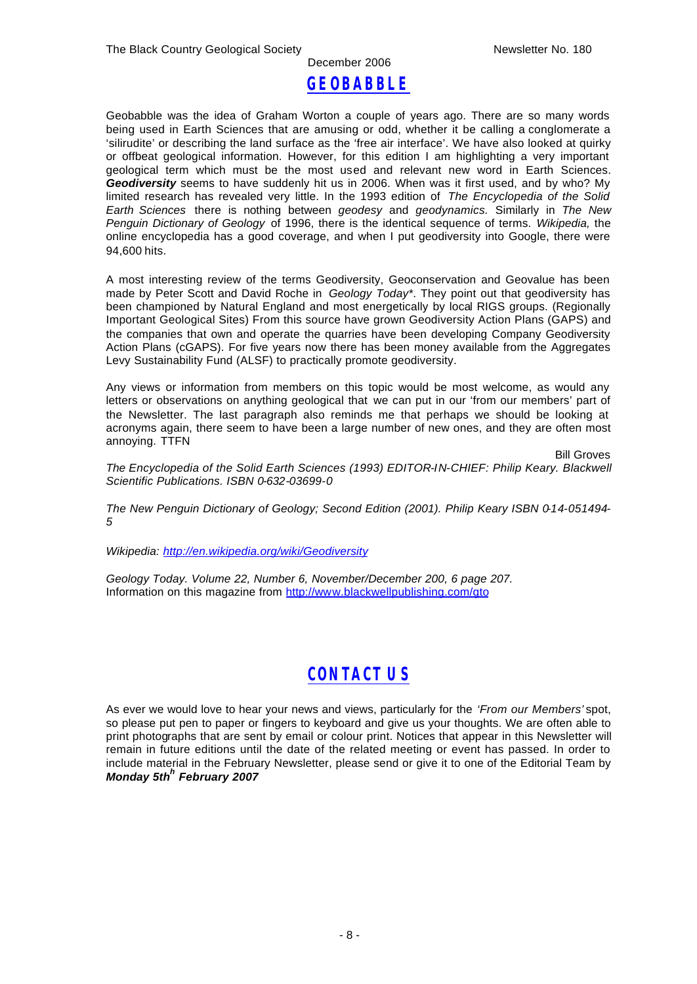## December 2006 *GEOBABBLE*

Geobabble was the idea of Graham Worton a couple of years ago. There are so many words being used in Earth Sciences that are amusing or odd, whether it be calling a conglomerate a 'silirudite' or describing the land surface as the 'free air interface'. We have also looked at quirky or offbeat geological information. However, for this edition I am highlighting a very important geological term which must be the most used and relevant new word in Earth Sciences. *Geodiversity* seems to have suddenly hit us in 2006. When was it first used, and by who? My limited research has revealed very little. In the 1993 edition of *The Encyclopedia of the Solid Earth Sciences* there is nothing between *geodesy* and *geodynamics.* Similarly in *The New Penguin Dictionary of Geology* of 1996, there is the identical sequence of terms. *Wikipedia,* the online encyclopedia has a good coverage, and when I put geodiversity into Google, there were 94,600 hits.

A most interesting review of the terms Geodiversity, Geoconservation and Geovalue has been made by Peter Scott and David Roche in *Geology Today\**. They point out that geodiversity has been championed by Natural England and most energetically by local RIGS groups. (Regionally Important Geological Sites) From this source have grown Geodiversity Action Plans (GAPS) and the companies that own and operate the quarries have been developing Company Geodiversity Action Plans (cGAPS). For five years now there has been money available from the Aggregates Levy Sustainability Fund (ALSF) to practically promote geodiversity.

Any views or information from members on this topic would be most welcome, as would any letters or observations on anything geological that we can put in our 'from our members' part of the Newsletter. The last paragraph also reminds me that perhaps we should be looking at acronyms again, there seem to have been a large number of new ones, and they are often most annoying. TTFN

Bill Groves

*The Encyclopedia of the Solid Earth Sciences (1993) EDITOR-IN-CHIEF: Philip Keary. Blackwell Scientific Publications. ISBN 0-632-03699-0* 

*The New Penguin Dictionary of Geology; Second Edition (2001). Philip Keary ISBN 0-14-051494- 5*

*Wikipedia: http://en.wikipedia.org/wiki/Geodiversity*

*Geology Today. Volume 22, Number 6, November/December 200, 6 page 207.* Information on this magazine from http://www.blackwellpublishing.com/gto

## *CONTACT US*

As ever we would love to hear your news and views, particularly for the *'From our Members'* spot, so please put pen to paper or fingers to keyboard and give us your thoughts. We are often able to print photographs that are sent by email or colour print. Notices that appear in this Newsletter will remain in future editions until the date of the related meeting or event has passed. In order to include material in the February Newsletter, please send or give it to one of the Editorial Team by *Monday 5th<sup>h</sup> February 2007*